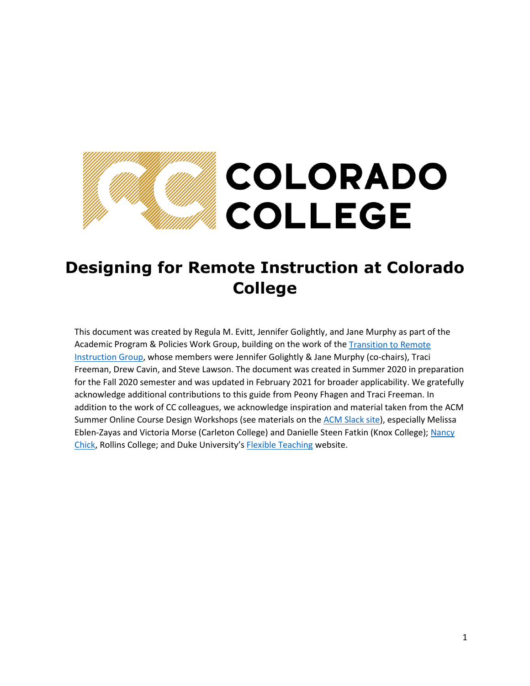# COLORADO **COLLEGE**

## **Designing for Remote Instruction at Colorado College**

This document was created by Regula M. Evitt, Jennifer Golightly, and Jane Murphy as part of the Academic Program & Policies Work Group, building on the work of the [Transition to Remote](https://www.coloradocollege.edu/other/facultydevelopment/resources-for-distance-teaching.html)  [Instruction Group,](https://www.coloradocollege.edu/other/facultydevelopment/resources-for-distance-teaching.html) whose members were Jennifer Golightly & Jane Murphy (co-chairs), Traci Freeman, Drew Cavin, and Steve Lawson. The document was created in Summer 2020 in preparation for the Fall 2020 semester and was updated in February 2021 for broader applicability. We gratefully acknowledge additional contributions to this guide from Peony Fhagen and Traci Freeman. In addition to the work of CC colleagues, we acknowledge inspiration and material taken from the ACM Summer Online Course Design Workshops (see materials on the [ACM Slack site\)](https://join.slack.com/t/acmworkshops/signup), especially Melissa Eblen-Zayas and Victoria Morse (Carleton College) and Danielle Steen Fatkin (Knox College)[; Nancy](https://docs.google.com/document/d/1Jbzn895N6GQKQo84yMS2_WYZehMq2ZbCu1p16NSPMmw/edit)  [Chick,](https://docs.google.com/document/d/1Jbzn895N6GQKQo84yMS2_WYZehMq2ZbCu1p16NSPMmw/edit) Rollins College; and Duke University's [Flexible Teaching](https://flexteaching.li.duke.edu/about-flexible-teaching/) website.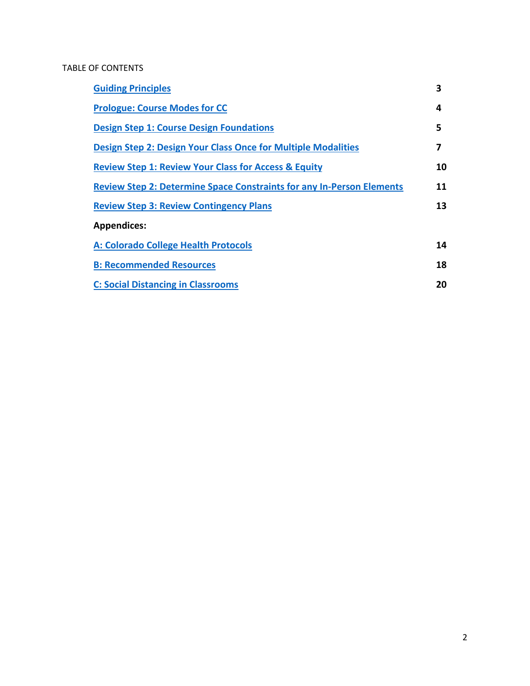## TABLE OF CONTENTS

| <b>Guiding Principles</b>                                                    | 3  |
|------------------------------------------------------------------------------|----|
| <b>Prologue: Course Modes for CC</b>                                         | 4  |
| <b>Design Step 1: Course Design Foundations</b>                              | 5  |
| <b>Design Step 2: Design Your Class Once for Multiple Modalities</b>         | 7  |
| <b>Review Step 1: Review Your Class for Access &amp; Equity</b>              | 10 |
| <b>Review Step 2: Determine Space Constraints for any In-Person Elements</b> | 11 |
| <b>Review Step 3: Review Contingency Plans</b>                               | 13 |
| <b>Appendices:</b>                                                           |    |
| A: Colorado College Health Protocols                                         | 14 |
| <b>B: Recommended Resources</b>                                              | 18 |
| <b>C: Social Distancing in Classrooms</b>                                    | 20 |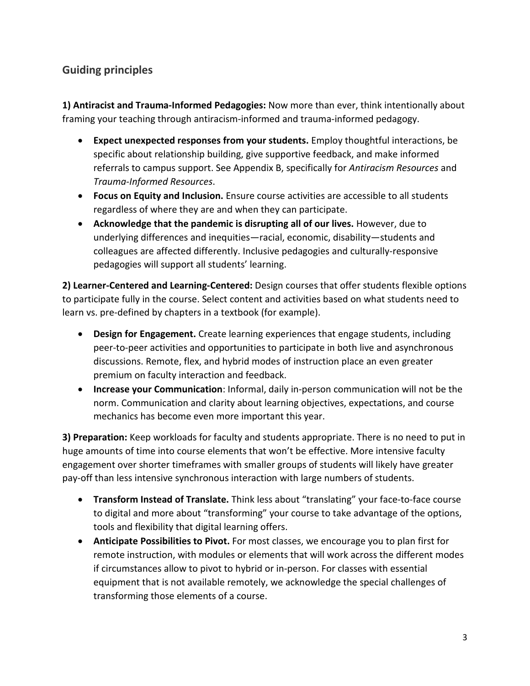## <span id="page-2-0"></span>**Guiding principles**

**1) Antiracist and Trauma-Informed Pedagogies:** Now more than ever, think intentionally about framing your teaching through antiracism-informed and trauma-informed pedagogy.

- **Expect unexpected responses from your students.** Employ thoughtful interactions, be specific about relationship building, give supportive feedback, and make informed referrals to campus support. See Appendix B, specifically for *Antiracism Resources* and *Trauma-Informed Resources*.
- **Focus on Equity and Inclusion.** Ensure course activities are accessible to all students regardless of where they are and when they can participate.
- **Acknowledge that the pandemic is disrupting all of our lives.** However, due to underlying differences and inequities—racial, economic, disability—students and colleagues are affected differently. Inclusive pedagogies and culturally-responsive pedagogies will support all students' learning.

**2) Learner-Centered and Learning-Centered:** Design courses that offer students flexible options to participate fully in the course. Select content and activities based on what students need to learn vs. pre-defined by chapters in a textbook (for example).

- **Design for Engagement.** Create learning experiences that engage students, including peer-to-peer activities and opportunities to participate in both live and asynchronous discussions. Remote, flex, and hybrid modes of instruction place an even greater premium on faculty interaction and feedback.
- **Increase your Communication**: Informal, daily in-person communication will not be the norm. Communication and clarity about learning objectives, expectations, and course mechanics has become even more important this year.

**3) Preparation:** Keep workloads for faculty and students appropriate. There is no need to put in huge amounts of time into course elements that won't be effective. More intensive faculty engagement over shorter timeframes with smaller groups of students will likely have greater pay-off than less intensive synchronous interaction with large numbers of students.

- **Transform Instead of Translate.** Think less about "translating" your face-to-face course to digital and more about "transforming" your course to take advantage of the options, tools and flexibility that digital learning offers.
- **Anticipate Possibilities to Pivot.** For most classes, we encourage you to plan first for remote instruction, with modules or elements that will work across the different modes if circumstances allow to pivot to hybrid or in-person. For classes with essential equipment that is not available remotely, we acknowledge the special challenges of transforming those elements of a course.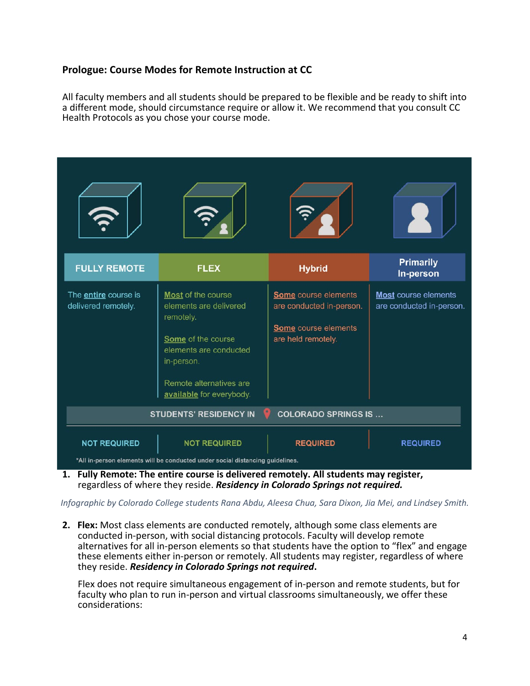### <span id="page-3-0"></span>**Prologue: Course Modes for Remote Instruction at CC**

All faculty members and all students should be prepared to be flexible and be ready to shift into a different mode, should circumstance require or allow it. We recommend that you consult CC Health Protocols as you chose your course mode.



**1. Fully Remote: The entire course is delivered remotely. All students may register,** regardless of where they reside. *Residency in Colorado Springs not required.*

*Infographic by Colorado College students Rana Abdu, Aleesa Chua, Sara Dixon, Jia Mei, and Lindsey Smith.*

**2. Flex:** Most class elements are conducted remotely, although some class elements are conducted in-person, with social distancing protocols. Faculty will develop remote alternatives for all in-person elements so that students have the option to "flex" and engage these elements either in-person or remotely. All students may register, regardless of where they reside. *Residency in Colorado Springs not required***.**

Flex does not require simultaneous engagement of in-person and remote students, but for faculty who plan to run in-person and virtual classrooms simultaneously, we offer these considerations: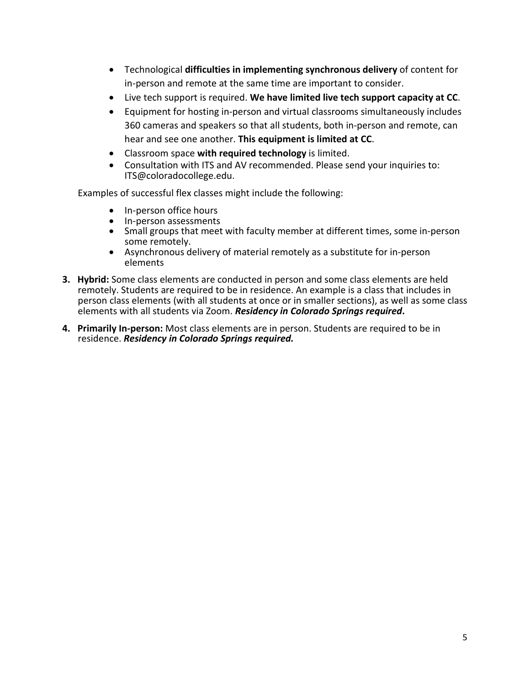- Technological **difficulties in implementing synchronous delivery** of content for in-person and remote at the same time are important to consider.
- Live tech support is required. **We have limited live tech support capacity at CC**.
- Equipment for hosting in-person and virtual classrooms simultaneously includes 360 cameras and speakers so that all students, both in-person and remote, can hear and see one another. **This equipment is limited at CC**.
- Classroom space **with required technology** is limited.
- Consultation with ITS and AV recommended. Please send your inquiries to: ITS@coloradocollege.edu.

Examples of successful flex classes might include the following:

- In-person office hours
- In-person assessments
- Small groups that meet with faculty member at different times, some in-person some remotely.
- Asynchronous delivery of material remotely as a substitute for in-person elements
- **3. Hybrid:** Some class elements are conducted in person and some class elements are held remotely. Students are required to be in residence. An example is a class that includes in person class elements (with all students at once or in smaller sections), as well as some class elements with all students via Zoom. *Residency in Colorado Springs required***.**
- **4. Primarily In-person:** Most class elements are in person. Students are required to be in residence. *Residency in Colorado Springs required.*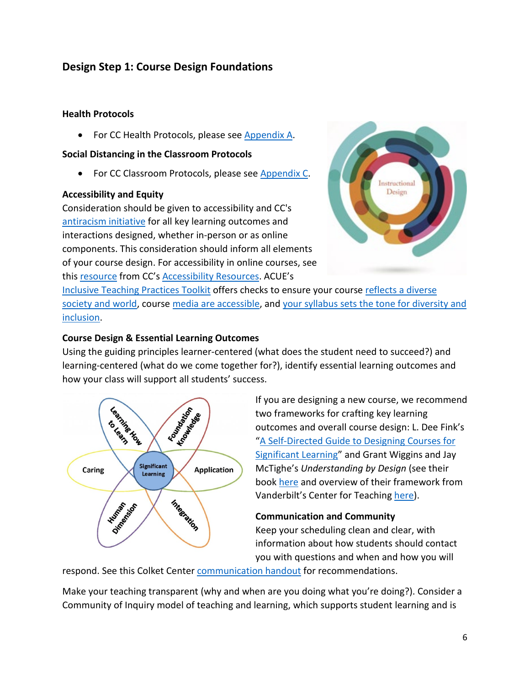## <span id="page-5-0"></span>**Design Step 1: Course Design Foundations**

## **Health Protocols**

• For CC Health Protocols, please see Appendix A.

#### **Social Distancing in the Classroom Protocols**

• For CC Classroom Protocols, please see [Appendix C.](#page-20-0)

#### **Accessibility and Equity**

Consideration should be given to accessibility and CC's [antiracism initiative](https://www.coloradocollege.edu/other/antiracism-initiative/) for all key learning outcomes and interactions designed, whether in-person or as online components. This consideration should inform all elements of your course design. For accessibility in online courses, see this [resource](https://www.coloradocollege.edu/other/facultydevelopment/resources/Accessibility%20for%20CC%20Online%20Courses.pdf) from CC's [Accessibility Resources.](https://www.coloradocollege.edu/offices/accessibilityresources/) ACUE's



[Inclusive Teaching Practices Toolkit](https://acue.org/inclusive-teaching-practices-toolkit/) offers checks to ensure your course reflects a diverse [society and world,](https://acue.org/inclusive-teaching-practices-toolkit/#sec8) course [media are accessible,](https://acue.org/inclusive-teaching-practices-toolkit/#sec4) an[d your syllabus sets the tone for diversity and](https://acue.org/inclusive-teaching-practices-toolkit/#sec1)  [inclusion.](https://acue.org/inclusive-teaching-practices-toolkit/#sec1)

## **Course Design & Essential Learning Outcomes**

Using the guiding principles learner-centered (what does the student need to succeed?) and learning-centered (what do we come together for?), identify essential learning outcomes and how your class will support all students' success.



If you are designing a new course, we recommend two frameworks for crafting key learning outcomes and overall course design: L. Dee Fink's ["A Self-Directed Guide to Designing Courses for](https://www.deefinkandassociates.com/GuidetoCourseDesignAug05.pdf)  [Significant Learning"](https://www.deefinkandassociates.com/GuidetoCourseDesignAug05.pdf) and Grant Wiggins and Jay McTighe's *Understanding by Design* (see their book [here](http://www.ascd.org/Publications/Books/Overview/Understanding-by-Design-Expanded-2nd-Edition.aspx) and overview of their framework from Vanderbilt's Center for Teachin[g here\)](https://cft.vanderbilt.edu/guides-sub-pages/understanding-by-design/).

#### **Communication and Community**

Keep your scheduling clean and clear, with information about how students should contact you with questions and when and how you will

respond. See this Colket Cente[r communication handout](https://www.coloradocollege.edu/offices/colketcenter/docs/Communication%20Tips%20for%20Distance%20Education.pdf) for recommendations.

Make your teaching transparent (why and when are you doing what you're doing?). Consider a Community of Inquiry model of teaching and learning, which supports student learning and is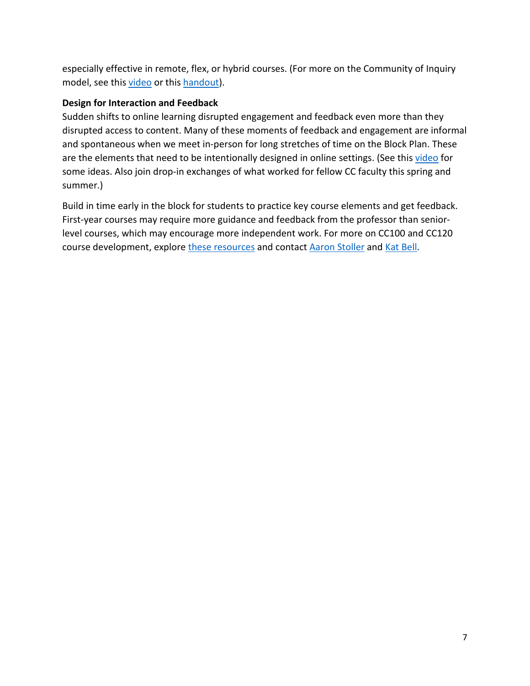especially effective in remote, flex, or hybrid courses. (For more on the Community of Inquiry model, see this [video](https://www.youtube.com/watch?v=273WuFa6Z04) or this [handout\)](https://www.purdue.edu/innovativelearning/supporting-instruction/portal/files/4_Community_of_Inquiry_Framework.pdf).

## **Design for Interaction and Feedback**

Sudden shifts to online learning disrupted engagement and feedback even more than they disrupted access to content. Many of these moments of feedback and engagement are informal and spontaneous when we meet in-person for long stretches of time on the Block Plan. These are the elements that need to be intentionally designed in online settings. (See thi[s video](https://youtu.be/85yXrhsBAXc) for some ideas. Also join drop-in exchanges of what worked for fellow CC faculty this spring and summer.)

Build in time early in the block for students to practice key course elements and get feedback. First-year courses may require more guidance and feedback from the professor than seniorlevel courses, which may encourage more independent work. For more on CC100 and CC120 course development, explore [these resources](https://www.coloradocollege.edu/offices/academicprograms/fyp/for-faculty/faculty-development.html) and contact [Aaron Stoller](mailto:astoller@coloradocollege.edu?subject=CC100/CC120) and [Kat Bell.](mailto:kbell@coloradocollege.edu?subject=CC100/CC120)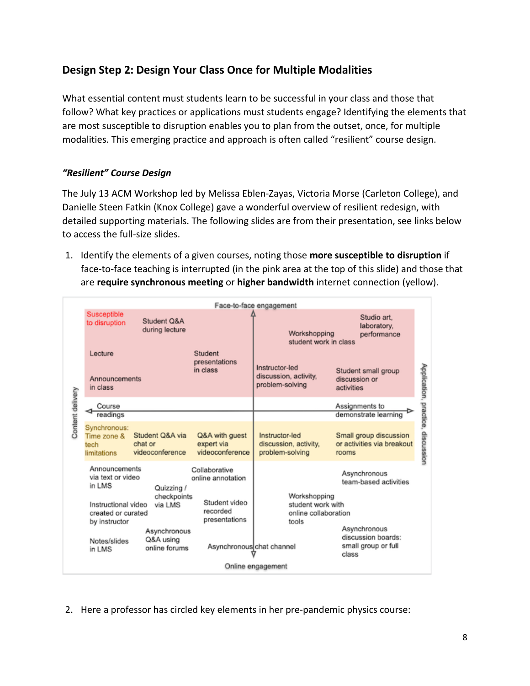## <span id="page-7-0"></span>**Design Step 2: Design Your Class Once for Multiple Modalities**

What essential content must students learn to be successful in your class and those that follow? What key practices or applications must students engage? Identifying the elements that are most susceptible to disruption enables you to plan from the outset, once, for multiple modalities. This emerging practice and approach is often called "resilient" course design.

## *"Resilient" Course Design*

The July 13 ACM Workshop led by Melissa Eblen-Zayas, Victoria Morse (Carleton College), and Danielle Steen Fatkin (Knox College) gave a wonderful overview of resilient redesign, with detailed supporting materials. The following slides are from their presentation, see links below to access the full-size slides.

1. Identify the elements of a given courses, noting those **more susceptible to disruption** if face-to-face teaching is interrupted (in the pink area at the top of this slide) and those that are **require synchronous meeting** or **higher bandwidth** internet connection (yellow).

| Susceptible<br>to disruption                       | Student O&A<br>during lecture                 |                                                                                       |                                                            | Studio art.<br>laboratory,<br>performance                     |                                                                                                                                            |  |
|----------------------------------------------------|-----------------------------------------------|---------------------------------------------------------------------------------------|------------------------------------------------------------|---------------------------------------------------------------|--------------------------------------------------------------------------------------------------------------------------------------------|--|
| Lecture<br>in class                                |                                               | Student<br>presentations<br>in class                                                  | Instructor-led<br>discussion, activity,<br>problem-solving | Student small group<br>discussion or<br>activities            |                                                                                                                                            |  |
| Course                                             |                                               |                                                                                       |                                                            | Assignments to                                                |                                                                                                                                            |  |
|                                                    |                                               |                                                                                       |                                                            |                                                               |                                                                                                                                            |  |
| Synchronous:<br>Time zone &<br>tech<br>limitations | Student Q&A via<br>chat or<br>videoconference | Q&A with guest<br>expert via<br>videoconference                                       | Instructor-led<br>discussion, activity,<br>problem-solving | Small group discussion<br>or activities via breakout<br>rooms | Application, practice, discussion                                                                                                          |  |
| in LMS                                             | Quizzing /                                    | Collaborative<br>online annotation<br>Student video                                   |                                                            | Asynchronous<br>team-based activities                         |                                                                                                                                            |  |
| created or curated<br>by instructor                |                                               | recorded<br>presentations                                                             | tools                                                      |                                                               |                                                                                                                                            |  |
| Notes/slides<br>in LMS                             | Q&A using<br>online forums                    |                                                                                       |                                                            | discussion boards:<br>small group or full<br>class            |                                                                                                                                            |  |
| Online engagement                                  |                                               |                                                                                       |                                                            |                                                               |                                                                                                                                            |  |
|                                                    | readings                                      | Announcements<br>Announcements<br>via text or video<br>Instructional video<br>via LMS | checkpoints<br>Asynchronous                                | Face-to-face engagement<br>Asynchronous chat channel          | Workshopping<br>student work in class<br>demonstrate learning<br>Workshopping<br>student work with<br>online collaboration<br>Asynchronous |  |

2. Here a professor has circled key elements in her pre-pandemic physics course: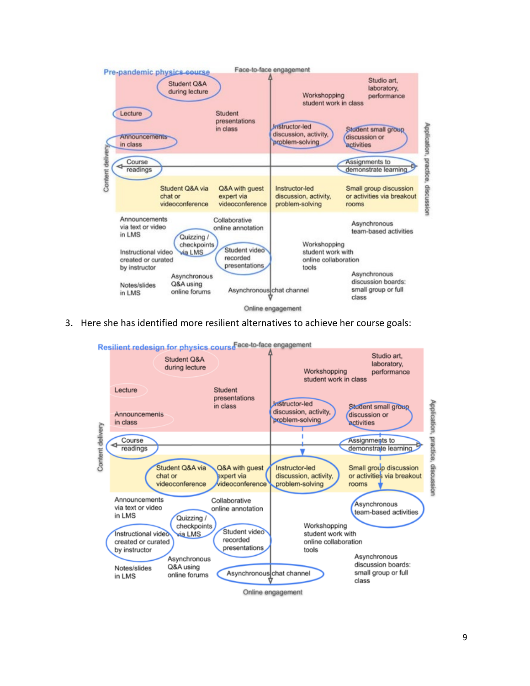

3. Here she has identified more resilient alternatives to achieve her course goals:

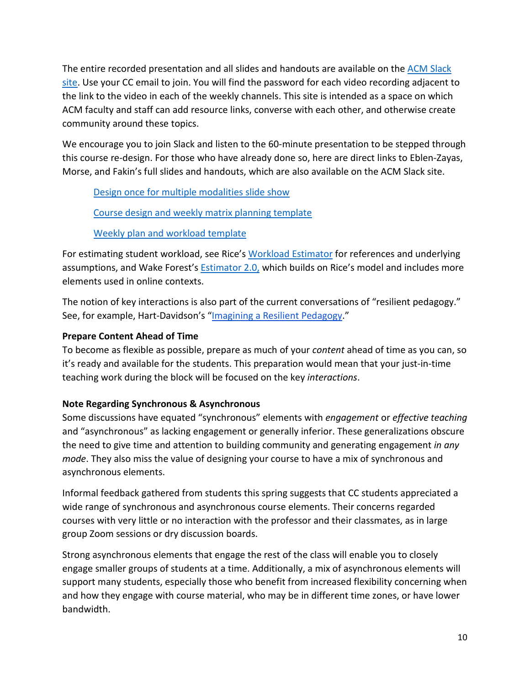The entire recorded presentation and all slides and handouts are available on th[e ACM Slack](https://join.slack.com/t/acmworkshops/signup)  [site.](https://join.slack.com/t/acmworkshops/signup) Use your CC email to join. You will find the password for each video recording adjacent to the link to the video in each of the weekly channels. This site is intended as a space on which ACM faculty and staff can add resource links, converse with each other, and otherwise create community around these topics.

We encourage you to join Slack and listen to the 60-minute presentation to be stepped through this course re-design. For those who have already done so, here are direct links to Eblen-Zayas, Morse, and Fakin's full slides and handouts, which are also available on the ACM Slack site.

[Design once for multiple modalities slide show](https://docs.google.com/presentation/d/1RXHhWZ1ubkCAYUCD50DITe9VKOOymerYSQozXwmiX5w/edit#slide=id.p)

## [Course design and weekly matrix planning template](https://docs.google.com/presentation/d/1utuXjmo29znwGrBqi4KxhwlhDKA3KLVsleJux2pPHdI/edit#slide=id.g8b4b91a78e_0_35)

## [Weekly plan and workload template](https://drive.google.com/file/d/1gL1HVVkJjp2FCj0YVkOV2VkMSACU1PkB/view)

For estimating student workload, see Rice'[s Workload Estimator](https://cte.rice.edu/workload#howcalculated) for references and underlying assumptions, and Wake Forest's [Estimator 2.0,](https://cat.wfu.edu/resources/tools/estimator2/) which builds on Rice's model and includes more elements used in online contexts.

The notion of key interactions is also part of the current conversations of "resilient pedagogy." See, for example, Hart-Davidson's ["Imagining a Resilient Pedagogy.](http://www.cal.msu.edu/about/longview/imagining-resilient-pedagogy)"

## **[Prepare Content Ahead of Time](https://docs.google.com/document/d/1Jbzn895N6GQKQo84yMS2_WYZehMq2ZbCu1p16NSPMmw/edit#heading=h.7fagz5dfbw51)**

To become as flexible as possible, prepare as much of your *content* ahead of time as you can, so it's ready and available for the students. This preparation would mean that your just-in-time teaching work during the block will be focused on the key *interactions*.

## **Note Regarding Synchronous & Asynchronous**

Some discussions have equated "synchronous" elements with *engagement* or *effective teaching* and "asynchronous" as lacking engagement or generally inferior. These generalizations obscure the need to give time and attention to building community and generating engagement *in any mode*. They also miss the value of designing your course to have a mix of synchronous and asynchronous elements.

Informal feedback gathered from students this spring suggests that CC students appreciated a wide range of synchronous and asynchronous course elements. Their concerns regarded courses with very little or no interaction with the professor and their classmates, as in large group Zoom sessions or dry discussion boards.

<span id="page-9-0"></span>Strong asynchronous elements that engage the rest of the class will enable you to closely engage smaller groups of students at a time. Additionally, a mix of asynchronous elements will support many students, especially those who benefit from increased flexibility concerning when and how they engage with course material, who may be in different time zones, or have lower bandwidth.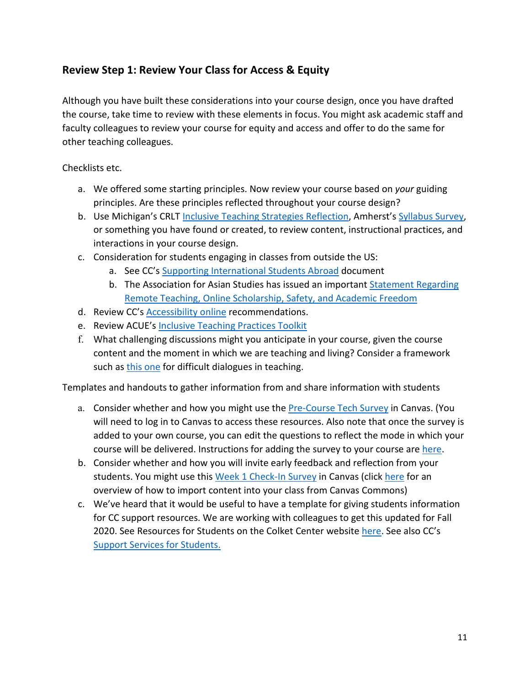## **Review Step 1: Review Your Class for Access & Equity**

Although you have built these considerations into your course design, once you have drafted the course, take time to review with these elements in focus. You might ask academic staff and faculty colleagues to review your course for equity and access and offer to do the same for other teaching colleagues.

Checklists etc.

- a. We offered some starting principles. Now review your course based on *your* guiding principles. Are these principles reflected throughout your course design?
- b. Use Michigan's CRLT [Inclusive Teaching Strategies Reflection,](https://cctigers-my.sharepoint.com/:b:/g/personal/jmurphy_coloradocollege_edu/ET1hRagIJTlDnb7TId2r4xYBIWmzeWkQ2p4kzINlmaQo-Q?e=m9Ugs7) Amherst'[s Syllabus Survey,](https://cctigers-my.sharepoint.com/:b:/g/personal/jmurphy_coloradocollege_edu/EfwtkqGiOhhLlOTOHiF43bEBzGTmsLfh1IjT7qIwi12wPA?e=SzrZVz) or something you have found or created, to review content, instructional practices, and interactions in your course design.
- c. Consideration for students engaging in classes from outside the US:
	- a. See CC's [Supporting International Students Abroad](https://www.coloradocollege.edu/other/coronavirus/docs/COVID19%20International%20Students%20and%20Distance%20Learning.pdf) document
	- b. The Association for Asian Studies has issued an important [Statement Regarding](https://www.asianstudies.org/aas-statement-regarding-remote-teaching-online-scholarship-safety-and-academic-freedom/?utm_source=AAS+Membership+Announcements&utm_campaign=e491fbfb70-EMAIL_CAMPAIGN_2020_07_23_07_05&utm_medium=email&utm_term=0_3fb6313949-e491fbfb70-70858583)  [Remote Teaching, Online Scholarship, Safety, and Academic Freedom](https://www.asianstudies.org/aas-statement-regarding-remote-teaching-online-scholarship-safety-and-academic-freedom/?utm_source=AAS+Membership+Announcements&utm_campaign=e491fbfb70-EMAIL_CAMPAIGN_2020_07_23_07_05&utm_medium=email&utm_term=0_3fb6313949-e491fbfb70-70858583)
- d. Review CC's [Accessibility online](https://www.coloradocollege.edu/other/facultydevelopment/resources/Accessibility%20for%20CC%20Online%20Courses.pdf) recommendations.
- e. Review ACUE's [Inclusive Teaching Practices Toolkit](https://acue.org/inclusive-teaching-practices-toolkit/)
- f. What challenging discussions might you anticipate in your course, given the course content and the moment in which we are teaching and living? Consider a framework such as [this one](https://cft.vanderbilt.edu/guides-sub-pages/difficult-dialogues/) for difficult dialogues in teaching.

Templates and handouts to gather information from and share information with students

- a. Consider whether and how you might use the [Pre-Course Tech Survey](https://canvas.coloradocollege.edu/accounts/1/external_tools/211?launch_type=global_navigation) in Canvas. (You will need to log in to Canvas to access these resources. Also note that once the survey is added to your own course, you can edit the questions to reflect the mode in which your course will be delivered. Instructions for adding the survey to your course are [here.](https://vimeo.com/manage/400021629/general)
- b. Consider whether and how you will invite early feedback and reflection from your students. You might use this [Week 1 Check-In Survey](https://canvas.coloradocollege.edu/courses/32133/external_tools/211?launch_type=quiz_menu&quizzes%5B%5D=5003) in Canvas (clic[k here](https://vimeo.com/430078023) for an overview of how to import content into your class from Canvas Commons)
- c. We've heard that it would be useful to have a template for giving students information for CC support resources. We are working with colleagues to get this updated for Fall 2020. See Resources for Students on the Colket Center website [here.](https://www.coloradocollege.edu/offices/colketcenter/resources-for-students.html) See also CC's [Support Services for Students.](https://www.coloradocollege.edu/lifeatcc/support/)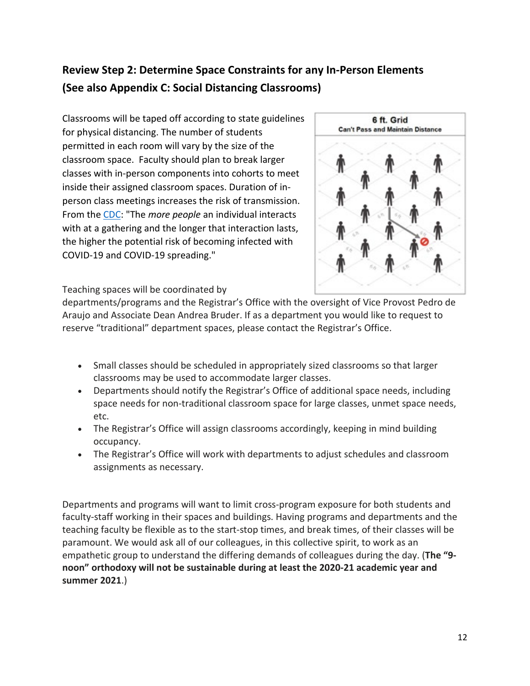## <span id="page-11-1"></span><span id="page-11-0"></span>**Review Step 2: Determine Space Constraints for any In-Person Elements (See also Appendix C: Social Distancing Classrooms)**

Classrooms will be taped off according to state guidelines for physical distancing. The number of students permitted in each room will vary by the size of the classroom space. Faculty should plan to break larger classes with in-person components into cohorts to meet inside their assigned classroom spaces. Duration of inperson class meetings increases the risk of transmission. From the [CDC:](https://www.cdc.gov/coronavirus/2019-ncov/community/large-events/considerations-for-events-gatherings.html) "The *more people* an individual interacts with at a gathering and the longer that interaction lasts, the higher the potential risk of becoming infected with COVID-19 and COVID-19 spreading."



Teaching spaces will be coordinated by

departments/programs and the Registrar's Office with the oversight of Vice Provost Pedro de Araujo and Associate Dean Andrea Bruder. If as a department you would like to request to reserve "traditional" department spaces, please contact the Registrar's Office.

- Small classes should be scheduled in appropriately sized classrooms so that larger classrooms may be used to accommodate larger classes.
- Departments should notify the Registrar's Office of additional space needs, including space needs for non-traditional classroom space for large classes, unmet space needs, etc.
- The Registrar's Office will assign classrooms accordingly, keeping in mind building occupancy.
- The Registrar's Office will work with departments to adjust schedules and classroom assignments as necessary.

Departments and programs will want to limit cross-program exposure for both students and faculty-staff working in their spaces and buildings. Having programs and departments and the teaching faculty be flexible as to the start-stop times, and break times, of their classes will be paramount. We would ask all of our colleagues, in this collective spirit, to work as an empathetic group to understand the differing demands of colleagues during the day. (**The "9 noon" orthodoxy will not be sustainable during at least the 2020-21 academic year and summer 2021**.)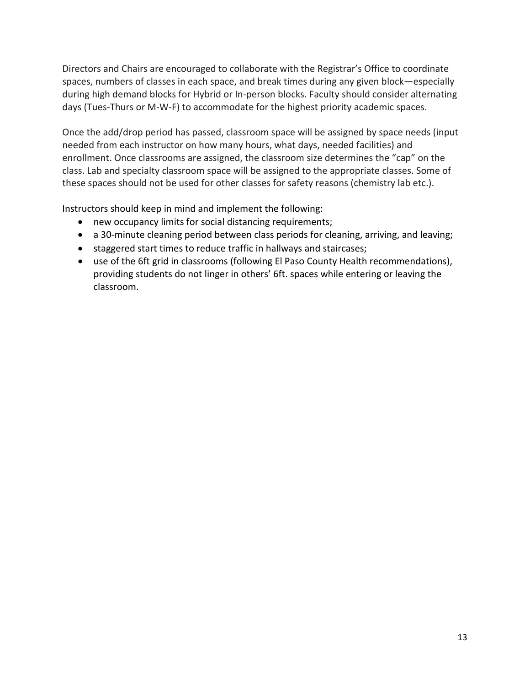Directors and Chairs are encouraged to collaborate with the Registrar's Office to coordinate spaces, numbers of classes in each space, and break times during any given block—especially during high demand blocks for Hybrid or In-person blocks. Faculty should consider alternating days (Tues-Thurs or M-W-F) to accommodate for the highest priority academic spaces.

Once the add/drop period has passed, classroom space will be assigned by space needs (input needed from each instructor on how many hours, what days, needed facilities) and enrollment. Once classrooms are assigned, the classroom size determines the "cap" on the class. Lab and specialty classroom space will be assigned to the appropriate classes. Some of these spaces should not be used for other classes for safety reasons (chemistry lab etc.).

Instructors should keep in mind and implement the following:

- new occupancy limits for social distancing requirements;
- a 30-minute cleaning period between class periods for cleaning, arriving, and leaving;
- staggered start times to reduce traffic in hallways and staircases;
- use of the 6ft grid in classrooms (following El Paso County Health recommendations), providing students do not linger in others' 6ft. spaces while entering or leaving the classroom.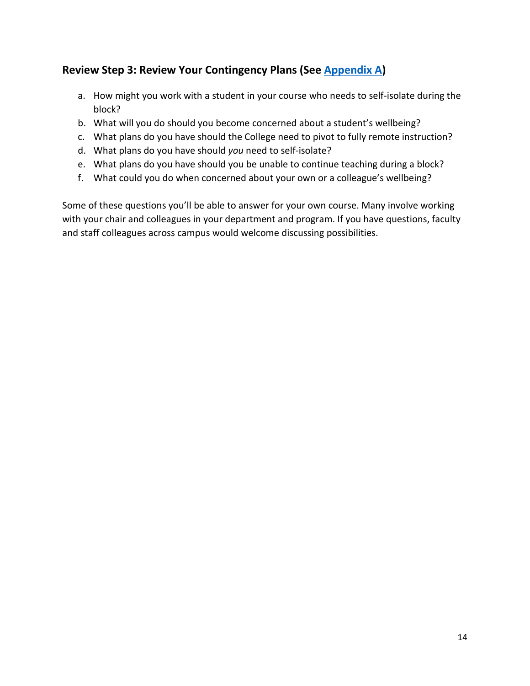## **Review Step 3: Review Your Contingency Plans (See [Appendix A\)](#page-13-0)**

- a. How might you work with a student in your course who needs to self-isolate during the block?
- b. What will you do should you become concerned about a student's wellbeing?
- c. What plans do you have should the College need to pivot to fully remote instruction?
- d. What plans do you have should *you* need to self-isolate?
- e. What plans do you have should you be unable to continue teaching during a block?
- f. What could you do when concerned about your own or a colleague's wellbeing?

<span id="page-13-0"></span>Some of these questions you'll be able to answer for your own course. Many involve working with your chair and colleagues in your department and program. If you have questions, faculty and staff colleagues across campus would welcome discussing possibilities.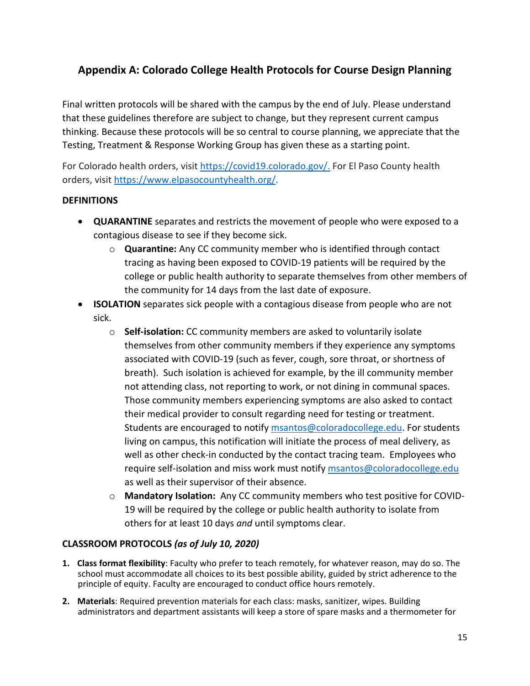## **Appendix A: Colorado College Health Protocols for Course Design Planning**

Final written protocols will be shared with the campus by the end of July. Please understand that these guidelines therefore are subject to change, but they represent current campus thinking. Because these protocols will be so central to course planning, we appreciate that the Testing, Treatment & Response Working Group has given these as a starting point.

For Colorado health orders, visit [https://covid19.colorado.gov/.](https://covid19.colorado.gov/) For El Paso County health orders, visi[t https://www.elpasocountyhealth.org/.](https://www.elpasocountyhealth.org/)

## **DEFINITIONS**

- **QUARANTINE** separates and restricts the movement of people who were exposed to a contagious disease to see if they become sick.
	- o **Quarantine:** Any CC community member who is identified through contact tracing as having been exposed to COVID-19 patients will be required by the college or public health authority to separate themselves from other members of the community for 14 days from the last date of exposure.
- **ISOLATION** separates sick people with a contagious disease from people who are not sick.
	- o **Self-isolation:** CC community members are asked to voluntarily isolate themselves from other community members if they experience any symptoms associated with COVID-19 (such as fever, cough, sore throat, or shortness of breath). Such isolation is achieved for example, by the ill community member not attending class, not reporting to work, or not dining in communal spaces. Those community members experiencing symptoms are also asked to contact their medical provider to consult regarding need for testing or treatment. Students are encouraged to notify [msantos@coloradocollege.edu.](mailto:msantos@coloradocollege.edu) For students living on campus, this notification will initiate the process of meal delivery, as well as other check-in conducted by the contact tracing team. Employees who require self-isolation and miss work must notify [msantos@coloradocollege.edu](mailto:msantos@coloradocollege.edu) as well as their supervisor of their absence.
	- o **Mandatory Isolation:** Any CC community members who test positive for COVID-19 will be required by the college or public health authority to isolate from others for at least 10 days *and* until symptoms clear.

## **CLASSROOM PROTOCOLS** *(as of July 10, 2020)*

- **1. Class format flexibility**: Faculty who prefer to teach remotely, for whatever reason, may do so. The school must accommodate all choices to its best possible ability, guided by strict adherence to the principle of equity. Faculty are encouraged to conduct office hours remotely.
- **2. Materials**: Required prevention materials for each class: masks, sanitizer, wipes. Building administrators and department assistants will keep a store of spare masks and a thermometer for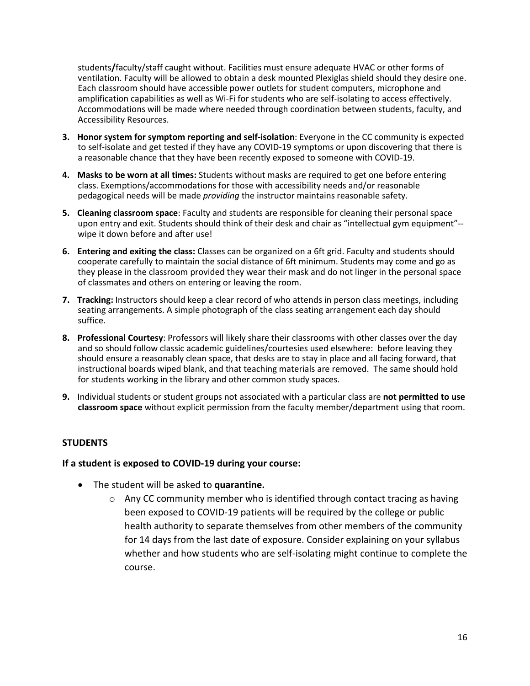students**/**faculty/staff caught without. Facilities must ensure adequate HVAC or other forms of ventilation. Faculty will be allowed to obtain a desk mounted Plexiglas shield should they desire one. Each classroom should have accessible power outlets for student computers, microphone and amplification capabilities as well as Wi-Fi for students who are self-isolating to access effectively. Accommodations will be made where needed through coordination between students, faculty, and Accessibility Resources.

- **3. Honor system for symptom reporting and self-isolation**: Everyone in the CC community is expected to self-isolate and get tested if they have any COVID-19 symptoms or upon discovering that there is a reasonable chance that they have been recently exposed to someone with COVID-19.
- **4. Masks to be worn at all times:** Students without masks are required to get one before entering class. Exemptions/accommodations for those with accessibility needs and/or reasonable pedagogical needs will be made *providing* the instructor maintains reasonable safety.
- **5. Cleaning classroom space**: Faculty and students are responsible for cleaning their personal space upon entry and exit. Students should think of their desk and chair as "intellectual gym equipment"- wipe it down before and after use!
- **6. Entering and exiting the class:** Classes can be organized on a 6ft grid. Faculty and students should cooperate carefully to maintain the social distance of 6ft minimum. Students may come and go as they please in the classroom provided they wear their mask and do not linger in the personal space of classmates and others on entering or leaving the room.
- **7. Tracking:** Instructors should keep a clear record of who attends in person class meetings, including seating arrangements. A simple photograph of the class seating arrangement each day should suffice.
- **8. Professional Courtesy**: Professors will likely share their classrooms with other classes over the day and so should follow classic academic guidelines/courtesies used elsewhere: before leaving they should ensure a reasonably clean space, that desks are to stay in place and all facing forward, that instructional boards wiped blank, and that teaching materials are removed. The same should hold for students working in the library and other common study spaces.
- **9.** Individual students or student groups not associated with a particular class are **not permitted to use classroom space** without explicit permission from the faculty member/department using that room.

#### **STUDENTS**

#### **If a student is exposed to COVID-19 during your course:**

- The student will be asked to **quarantine.**
	- $\circ$  Any CC community member who is identified through contact tracing as having been exposed to COVID-19 patients will be required by the college or public health authority to separate themselves from other members of the community for 14 days from the last date of exposure. Consider explaining on your syllabus whether and how students who are self-isolating might continue to complete the course.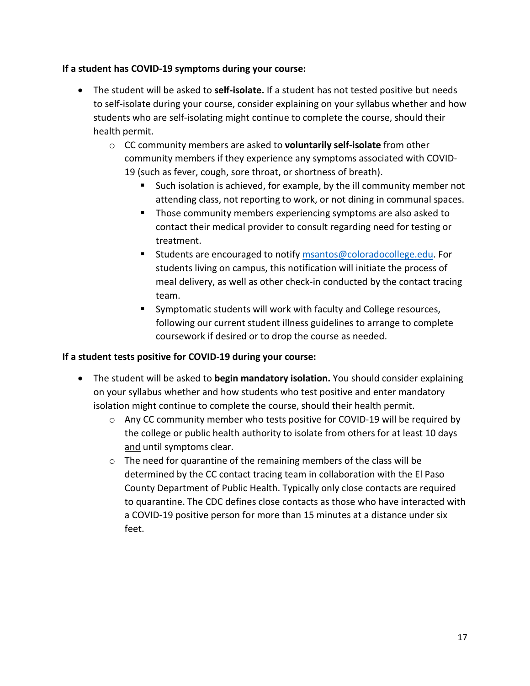## **If a student has COVID-19 symptoms during your course:**

- The student will be asked to **self-isolate.** If a student has not tested positive but needs to self-isolate during your course, consider explaining on your syllabus whether and how students who are self-isolating might continue to complete the course, should their health permit.
	- o CC community members are asked to **voluntarily self-isolate** from other community members if they experience any symptoms associated with COVID-19 (such as fever, cough, sore throat, or shortness of breath).
		- Such isolation is achieved, for example, by the ill community member not attending class, not reporting to work, or not dining in communal spaces.
		- **Those community members experiencing symptoms are also asked to** contact their medical provider to consult regarding need for testing or treatment.
		- Students are encouraged to notify [msantos@coloradocollege.edu.](mailto:msantos@coloradocollege.edu) For students living on campus, this notification will initiate the process of meal delivery, as well as other check-in conducted by the contact tracing team.
		- **Symptomatic students will work with faculty and College resources,** following our current student illness guidelines to arrange to complete coursework if desired or to drop the course as needed.

## **If a student tests positive for COVID-19 during your course:**

- The student will be asked to **begin mandatory isolation.** You should consider explaining on your syllabus whether and how students who test positive and enter mandatory isolation might continue to complete the course, should their health permit.
	- $\circ$  Any CC community member who tests positive for COVID-19 will be required by the college or public health authority to isolate from others for at least 10 days and until symptoms clear.
	- o The need for quarantine of the remaining members of the class will be determined by the CC contact tracing team in collaboration with the El Paso County Department of Public Health. Typically only close contacts are required to quarantine. The CDC defines close contacts as those who have interacted with a COVID-19 positive person for more than 15 minutes at a distance under six feet.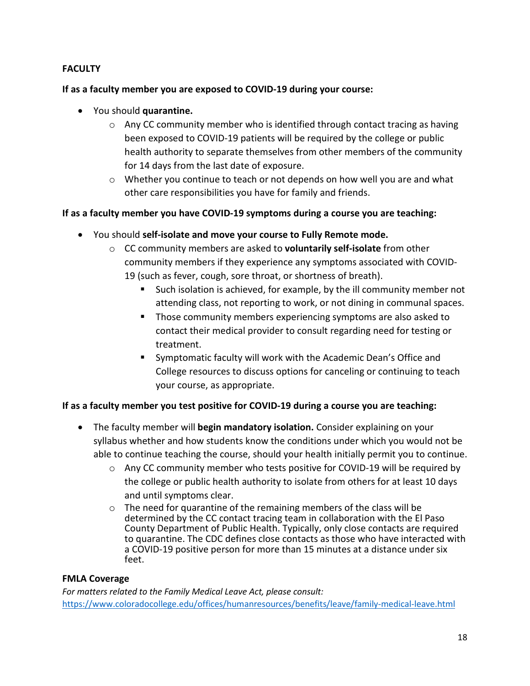## **FACULTY**

## **If as a faculty member you are exposed to COVID-19 during your course:**

- You should **quarantine.**
	- $\circ$  Any CC community member who is identified through contact tracing as having been exposed to COVID-19 patients will be required by the college or public health authority to separate themselves from other members of the community for 14 days from the last date of exposure.
	- $\circ$  Whether you continue to teach or not depends on how well you are and what other care responsibilities you have for family and friends.

## **If as a faculty member you have COVID-19 symptoms during a course you are teaching:**

- You should **self-isolate and move your course to Fully Remote mode.**
	- o CC community members are asked to **voluntarily self-isolate** from other community members if they experience any symptoms associated with COVID-19 (such as fever, cough, sore throat, or shortness of breath).
		- Such isolation is achieved, for example, by the ill community member not attending class, not reporting to work, or not dining in communal spaces.
		- **Those community members experiencing symptoms are also asked to** contact their medical provider to consult regarding need for testing or treatment.
		- Symptomatic faculty will work with the Academic Dean's Office and College resources to discuss options for canceling or continuing to teach your course, as appropriate.

## **If as a faculty member you test positive for COVID-19 during a course you are teaching:**

- The faculty member will **begin mandatory isolation.** Consider explaining on your syllabus whether and how students know the conditions under which you would not be able to continue teaching the course, should your health initially permit you to continue.
	- $\circ$  Any CC community member who tests positive for COVID-19 will be required by the college or public health authority to isolate from others for at least 10 days and until symptoms clear.
	- o The need for quarantine of the remaining members of the class will be determined by the CC contact tracing team in collaboration with the El Paso County Department of Public Health. Typically, only close contacts are required to quarantine. The CDC defines close contacts as those who have interacted with a COVID-19 positive person for more than 15 minutes at a distance under six feet.

## **FMLA Coverage**

*For matters related to the Family Medical Leave Act, please consult:* <https://www.coloradocollege.edu/offices/humanresources/benefits/leave/family-medical-leave.html>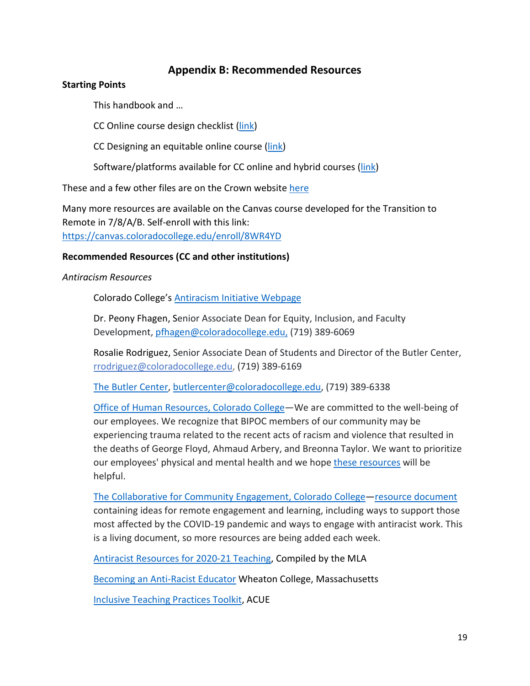## **Appendix B: Recommended Resources**

#### <span id="page-18-0"></span>**Starting Points**

This handbook and …

CC Online course design checklist [\(link\)](https://cctigers-my.sharepoint.com/:b:/g/personal/jmurphy_coloradocollege_edu/EfKoqqS1M-BPhFVClhzdzlYB5URLhMlx_u2zu1fdYIdl8Q?e=UJmmRQ)

CC Designing an equitable online course [\(link\)](https://cctigers-my.sharepoint.com/:w:/g/personal/jmurphy_coloradocollege_edu/ETRI5SxZTNFFlrAzEhr4rVwBy63RqV-OIOm9AVBfhBqwRA?e=W5QSYa)

Software/platforms available for CC online and hybrid courses [\(link\)](https://cctigers-my.sharepoint.com/:w:/g/personal/jgolightly_coloradocollege_edu/ES2AEAQo_NJNrL2iUQGa26UBRfQi4oHQujWLc2Nx4raVoQ?e=cK2yeI)

These and a few other files are on the Crown website [here](https://www.coloradocollege.edu/other/facultydevelopment/resources-for-distance-teaching.html)

Many more resources are available on the Canvas course developed for the Transition to Remote in 7/8/A/B. Self-enroll with this link: <https://canvas.coloradocollege.edu/enroll/8WR4YD>

**Recommended Resources (CC and other institutions)**

*Antiracism Resources*

Colorado College's [Antiracism Initiative Webpage](https://www.coloradocollege.edu/other/antiracism-initiative/)

Dr. Peony Fhagen, Senior Associate Dean for Equity, Inclusion, and Faculty Development, [pfhagen@coloradocollege.edu,](mailto:pfhagen@coloradocollege.edu) (719) 389-6069

Rosalie Rodriguez, Senior Associate Dean of Students and Director of the Butler Center, [rrodriguez@coloradocollege.edu,](mailto:rrodriguez@coloradocollege.edu) (719) 389-6169

[The Butler Center,](https://www.coloradocollege.edu/offices/butlercenter/) [butlercenter@coloradocollege.edu,](mailto:butlercenter@coloradocollege.edu) (719) 389-6338

[Office of Human Resources, Colorado College—](https://www.coloradocollege.edu/offices/humanresources/)We are committed to the well-being of our employees. We recognize that BIPOC members of our community may be experiencing trauma related to the recent acts of racism and violence that resulted in the deaths of George Floyd, Ahmaud Arbery, and Breonna Taylor. We want to prioritize our employees' physical and mental health and we hope [these resources](https://www.coloradocollege.edu/offices/humanresources/coping-with-racial-trauma.html) will be helpful.

[The Collaborative for Community Engagement, Colorado College](https://www.coloradocollege.edu/offices/cce/)[—resource document](https://coloradocollege.us8.list-manage.com/track/click?u=a2ffa14c4a3c79ddcc1b20faa&id=045bc83e99&e=671beae29d) containing ideas for remote engagement and learning, including ways to support those most affected by the COVID-19 pandemic and ways to engage with antiracist work. This is a living document, so more resources are being added each week.

[Antiracist Resources for 2020-21 Teaching,](https://antiracistresources.hcommons.org/) Compiled by the MLA

[Becoming an Anti-Racist Educator](https://wheatoncollege.edu/academics/special-projects-initiatives/center-for-collaborative-teaching-and-learning/anti-racist-educator/) Wheaton College, Massachusetts

[Inclusive Teaching Practices Toolkit,](https://acue.org/inclusive-teaching-practices-toolkit/?utm_source=ACUE+Community&utm_campaign=33f74e0cb7-EMAIL_CAMPAIGN_2020_07_23&utm_medium=email&utm_term=0_b39ffec948-33f74e0cb7-95944177) ACUE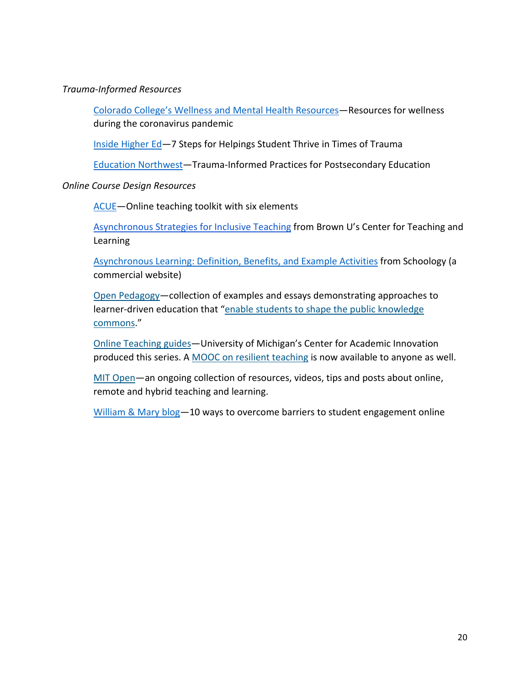#### *Trauma-Informed Resources*

[Colorado College's Wellness and Mental Health Resources—](https://www.coloradocollege.edu/other/coronavirus/wellness-mental-health.html)Resources for wellness during the coronavirus pandemic

[Inside Higher Ed—](https://www.insidehighered.com/advice/2020/06/03/seven-recommendations-helping-students-thrive-times-trauma)7 Steps for Helpings Student Thrive in Times of Trauma

[Education Northwest—](https://educationnorthwest.org/sites/default/files/resources/trauma-informed-practices-postsecondary-508.pdf)Trauma-Informed Practices for Postsecondary Education

### *Online Course Design Resources*

ACUE-Online teaching toolkit with six elements

[Asynchronous Strategies for Inclusive Teaching](https://www.brown.edu/sheridan/asynchronous-strategies-inclusive-teaching) from Brown U's Center for Teaching and Learning

[Asynchronous Learning: Definition, Benefits, and Example Activities](https://www.schoology.com/blog/asynchronous-learning-definition-benefits-and-example-activities) from Schoology (a commercial website)

[Open Pedagogy—](http://openpedagogy.org/)collection of examples and essays demonstrating approaches to learner-driven education that ["enable students to shape the public knowledge](http://openpedagogy.org/open-pedagogy/)  [commons.](http://openpedagogy.org/open-pedagogy/)"

[Online Teaching guides—](https://onlineteaching.umich.edu/)University of Michigan's Center for Academic Innovation produced this series. A [MOOC on resilient teaching](https://www.coursera.org/learn/resilient-teaching-through-times-of-crisis/) is now available to anyone as well.

[MIT Open—](https://open.mit.edu/)an ongoing collection of resources, videos, tips and posts about online, remote and hybrid teaching and learning.

William & Mary blog-10 ways to overcome barriers to student engagement online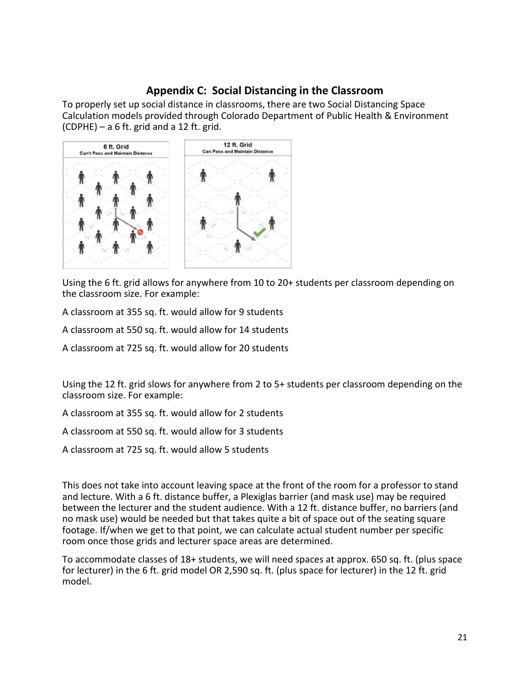## **Appendix C: Social Distancing in the Classroom**

<span id="page-20-0"></span>To properly set up social distance in classrooms, there are two Social Distancing Space Calculation models provided through Colorado Department of Public Health & Environment (CDPHE) – a 6 ft. grid and a 12 ft. grid.



Using the 6 ft. grid allows for anywhere from 10 to 20+ students per classroom depending on the classroom size. For example:

A classroom at 355 sq. ft. would allow for 9 students

A classroom at 550 sq. ft. would allow for 14 students

A classroom at 725 sq. ft. would allow for 20 students

Using the 12 ft. grid slows for anywhere from 2 to 5+ students per classroom depending on the classroom size. For example:

A classroom at 355 sq. ft. would allow for 2 students

A classroom at 550 sq. ft. would allow for 3 students

A classroom at 725 sq. ft. would allow 5 students

This does not take into account leaving space at the front of the room for a professor to stand and lecture. With a 6 ft. distance buffer, a Plexiglas barrier (and mask use) may be required between the lecturer and the student audience. With a 12 ft. distance buffer, no barriers (and no mask use) would be needed but that takes quite a bit of space out of the seating square footage. If/when we get to that point, we can calculate actual student number per specific room once those grids and lecturer space areas are determined.

To accommodate classes of 18+ students, we will need spaces at approx. 650 sq. ft. (plus space for lecturer) in the 6 ft. grid model OR 2,590 sq. ft. (plus space for lecturer) in the 12 ft. grid model.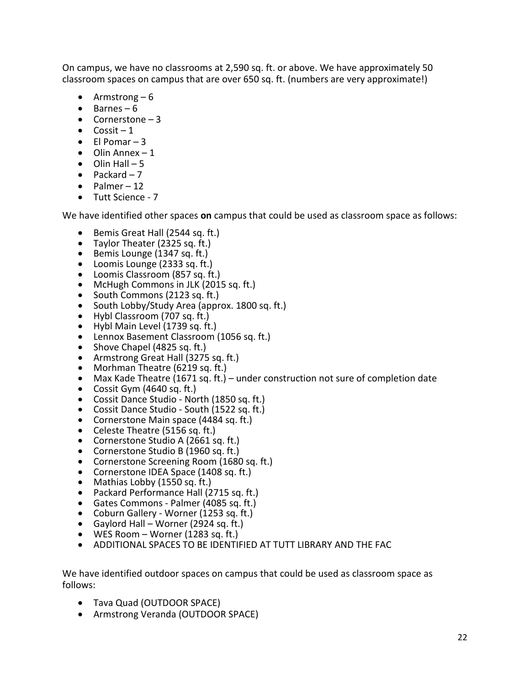On campus, we have no classrooms at 2,590 sq. ft. or above. We have approximately 50 classroom spaces on campus that are over 650 sq. ft. (numbers are very approximate!)

- Armstrong  $-6$
- Barnes 6
- Cornerstone  $-3$
- $\bullet$  Cossit 1
- $\bullet$  El Pomar 3
- $\bullet$  Olin Annex 1
- $\bullet$  Olin Hall 5
- Packard  $-7$
- $\bullet$  Palmer 12
- Tutt Science 7

We have identified other spaces **on** campus that could be used as classroom space as follows:

- Bemis Great Hall (2544 sq. ft.)
- Taylor Theater (2325 sq. ft.)
- Bemis Lounge (1347 sq. ft.)
- Loomis Lounge (2333 sq. ft.)
- Loomis Classroom (857 sq. ft.)
- McHugh Commons in JLK (2015 sq. ft.)
- South Commons (2123 sq. ft.)
- South Lobby/Study Area (approx. 1800 sq. ft.)
- Hybl Classroom (707 sq. ft.)
- Hybl Main Level (1739 sq. ft.)
- Lennox Basement Classroom (1056 sq. ft.)
- Shove Chapel (4825 sq. ft.)
- Armstrong Great Hall (3275 sq. ft.)
- Morhman Theatre (6219 sq. ft.)
- Max Kade Theatre (1671 sq. ft.) under construction not sure of completion date
- Cossit Gym (4640 sq. ft.)
- Cossit Dance Studio North (1850 sq. ft.)
- Cossit Dance Studio South (1522 sq. ft.)
- Cornerstone Main space (4484 sq. ft.)
- Celeste Theatre (5156 sq. ft.)
- Cornerstone Studio A (2661 sq. ft.)
- Cornerstone Studio B (1960 sq. ft.)
- Cornerstone Screening Room (1680 sq. ft.)
- Cornerstone IDEA Space (1408 sq. ft.)
- Mathias Lobby (1550 sq. ft.)
- Packard Performance Hall (2715 sq. ft.)
- Gates Commons Palmer (4085 sq. ft.)
- Coburn Gallery Worner (1253 sq. ft.)
- Gaylord Hall Worner (2924 sq. ft.)
- WES Room Worner (1283 sq. ft.)
- ADDITIONAL SPACES TO BE IDENTIFIED AT TUTT LIBRARY AND THE FAC

We have identified outdoor spaces on campus that could be used as classroom space as follows:

- Tava Quad (OUTDOOR SPACE)
- Armstrong Veranda (OUTDOOR SPACE)